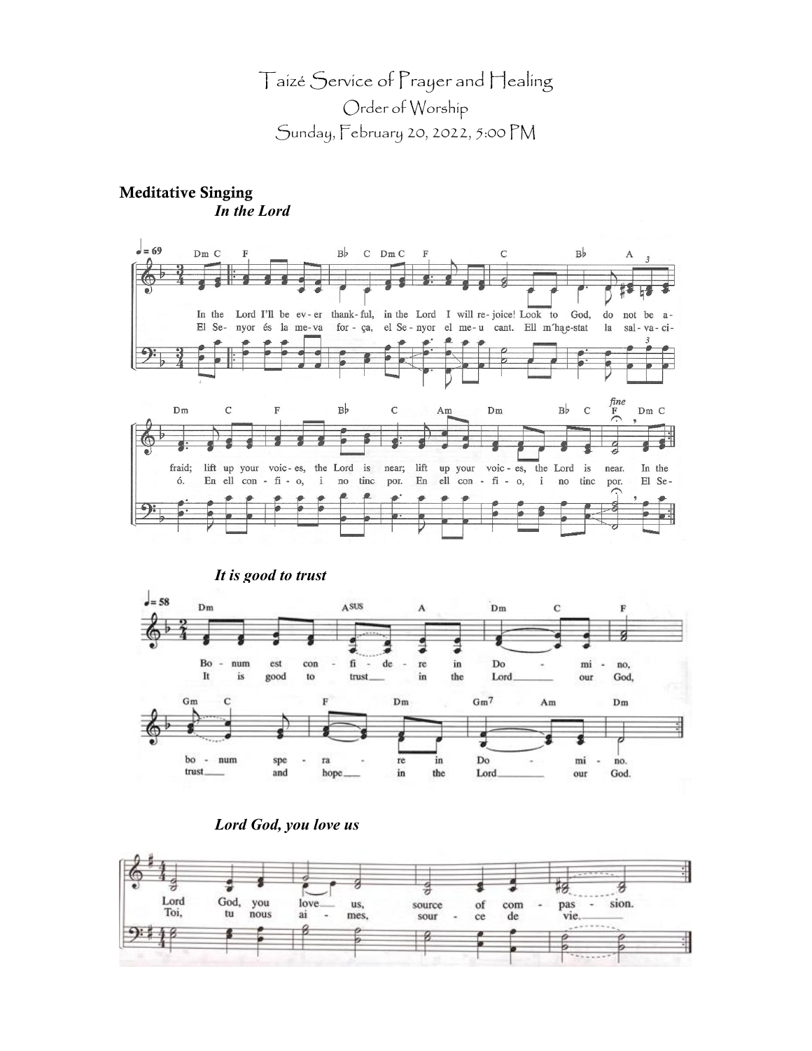# Taizé Service of Prayer and Healing Order of Worship Sunday, February 20, 2022, 5:00 PM

# Meditative Singing *In the Lord*







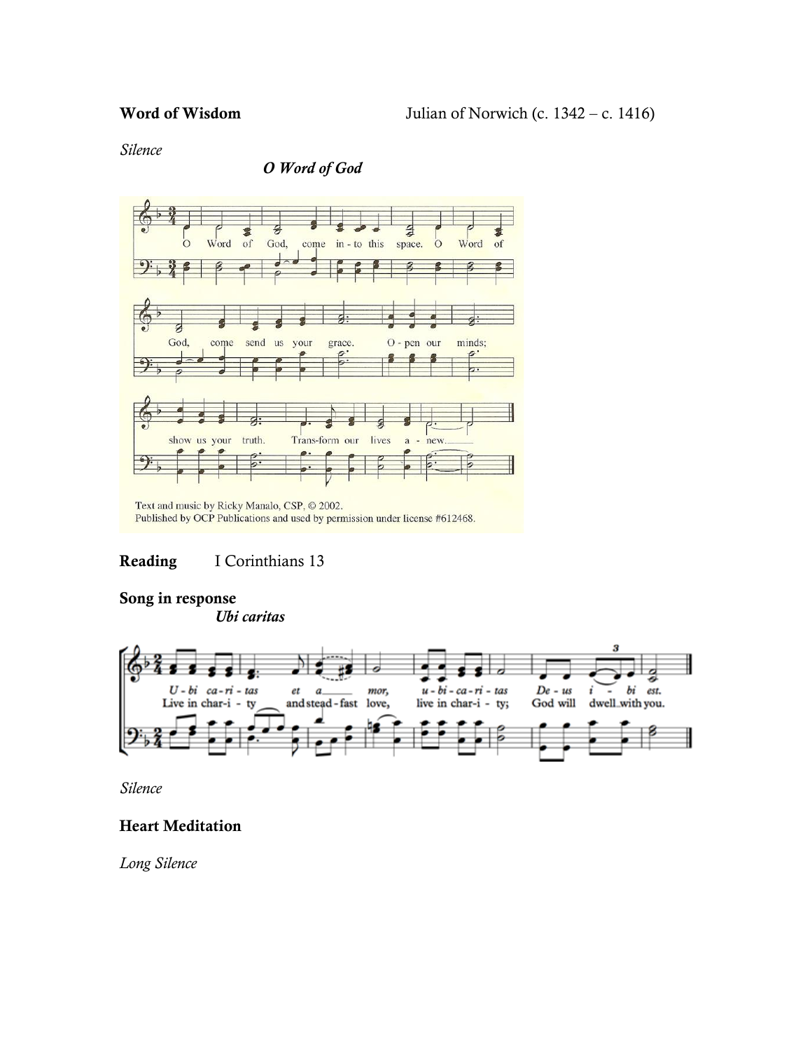*Silence*

### *O Word of God*



Text and music by Ricky Manalo, CSP, © 2002. Published by OCP Publications and used by permission under license #612468.

# Reading I Corinthians 13

#### Song in response

*Ubi caritas*



*Silence*

# Heart Meditation

*Long Silence*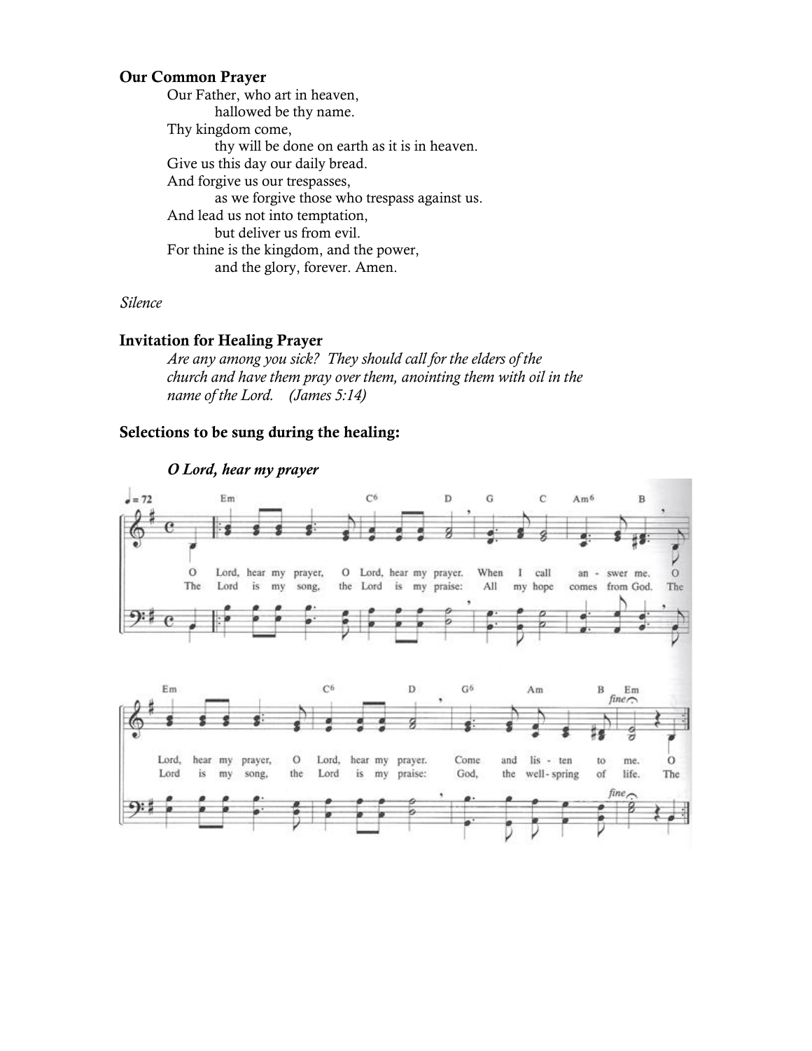#### Our Common Prayer

Our Father, who art in heaven, hallowed be thy name. Thy kingdom come, thy will be done on earth as it is in heaven. Give us this day our daily bread. And forgive us our trespasses, as we forgive those who trespass against us. And lead us not into temptation, but deliver us from evil. For thine is the kingdom, and the power, and the glory, forever. Amen.

*Silence*

#### Invitation for Healing Prayer

*Are any among you sick? They should call for the elders of the church and have them pray over them, anointing them with oil in the name of the Lord. (James 5:14)*

#### Selections to be sung during the healing:



#### *O Lord, hear my prayer*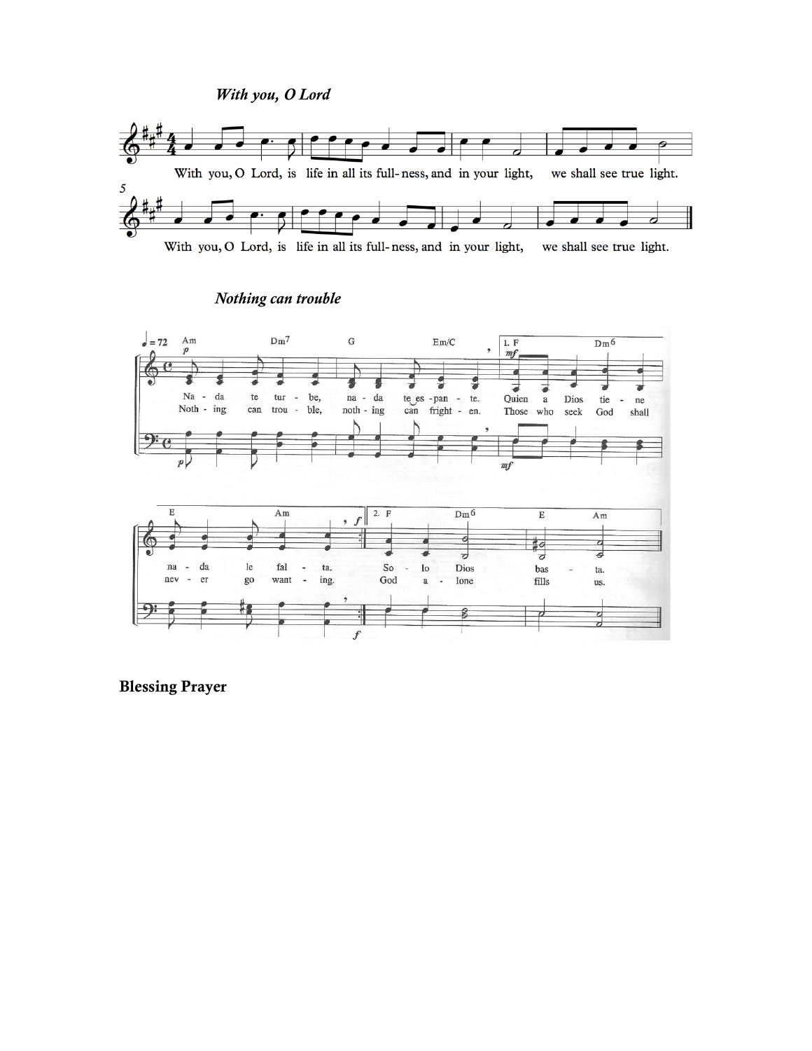*With you, O Lord*



With you, O Lord, is life in all its full-ness, and in your light, we shall see true light.



### *Nothing can trouble*

Blessing Prayer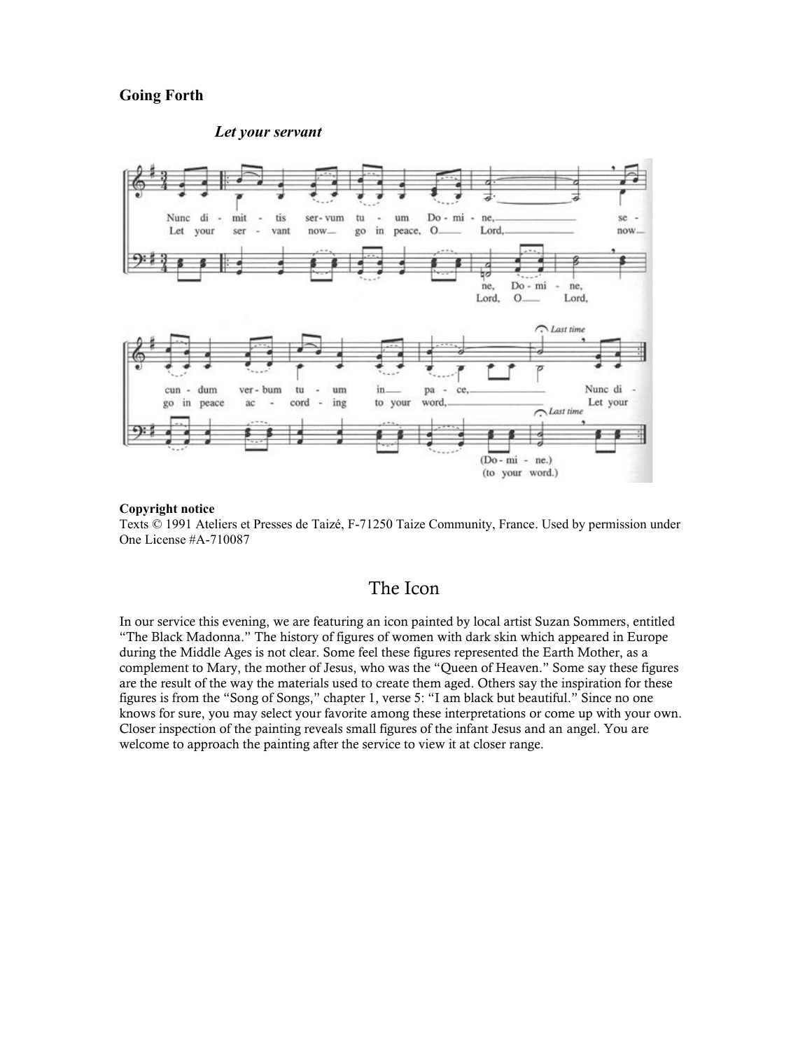#### **Going Forth**



#### *Let your servant*

#### **Copyright notice**

Texts © 1991 Ateliers et Presses de Taizé, F-71250 Taize Community, France. Used by permission under One License #A-710087

# The Icon

In our service this evening, we are featuring an icon painted by local artist Suzan Sommers, entitled "The Black Madonna." The history of figures of women with dark skin which appeared in Europe during the Middle Ages is not clear. Some feel these figures represented the Earth Mother, as a complement to Mary, the mother of Jesus, who was the "Queen of Heaven." Some say these figures are the result of the way the materials used to create them aged. Others say the inspiration for these figures is from the "Song of Songs," chapter 1, verse 5: "I am black but beautiful." Since no one knows for sure, you may select your favorite among these interpretations or come up with your own. Closer inspection of the painting reveals small figures of the infant Jesus and an angel. You are welcome to approach the painting after the service to view it at closer range.